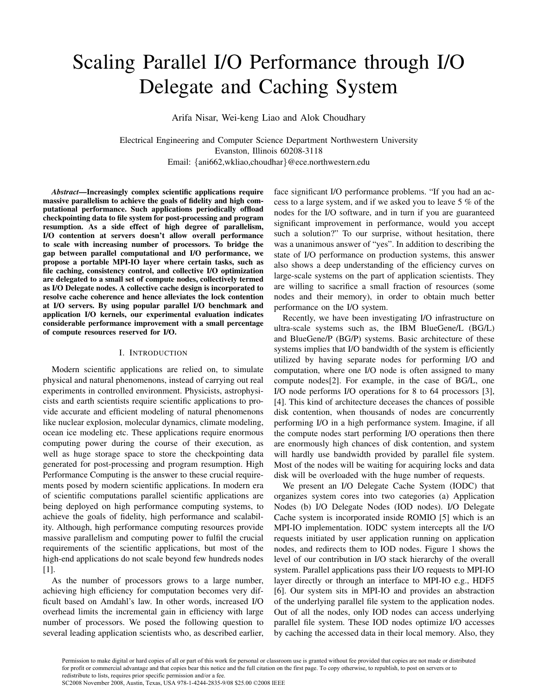# Scaling Parallel I/O Performance through I/O Delegate and Caching System

Arifa Nisar, Wei-keng Liao and Alok Choudhary

Electrical Engineering and Computer Science Department Northwestern University Evanston, Illinois 60208-3118 Email: {ani662,wkliao,choudhar}@ece.northwestern.edu

*Abstract*—Increasingly complex scientific applications require massive parallelism to achieve the goals of fidelity and high computational performance. Such applications periodically offload checkpointing data to file system for post-processing and program resumption. As a side effect of high degree of parallelism, I/O contention at servers doesn't allow overall performance to scale with increasing number of processors. To bridge the gap between parallel computational and I/O performance, we propose a portable MPI-IO layer where certain tasks, such as file caching, consistency control, and collective I/O optimization are delegated to a small set of compute nodes, collectively termed as I/O Delegate nodes. A collective cache design is incorporated to resolve cache coherence and hence alleviates the lock contention at I/O servers. By using popular parallel I/O benchmark and application I/O kernels, our experimental evaluation indicates considerable performance improvement with a small percentage of compute resources reserved for I/O.

#### I. INTRODUCTION

Modern scientific applications are relied on, to simulate physical and natural phenomenons, instead of carrying out real experiments in controlled environment. Physicists, astrophysicists and earth scientists require scientific applications to provide accurate and efficient modeling of natural phenomenons like nuclear explosion, molecular dynamics, climate modeling, ocean ice modeling etc. These applications require enormous computing power during the course of their execution, as well as huge storage space to store the checkpointing data generated for post-processing and program resumption. High Performance Computing is the answer to these crucial requirements posed by modern scientific applications. In modern era of scientific computations parallel scientific applications are being deployed on high performance computing systems, to achieve the goals of fidelity, high performance and scalability. Although, high performance computing resources provide massive parallelism and computing power to fulfil the crucial requirements of the scientific applications, but most of the high-end applications do not scale beyond few hundreds nodes [1].

As the number of processors grows to a large number, achieving high efficiency for computation becomes very difficult based on Amdahl's law. In other words, increased I/O overhead limits the incremental gain in efficiency with large number of processors. We posed the following question to several leading application scientists who, as described earlier, face significant I/O performance problems. "If you had an access to a large system, and if we asked you to leave 5 % of the nodes for the I/O software, and in turn if you are guaranteed significant improvement in performance, would you accept such a solution?" To our surprise, without hesitation, there was a unanimous answer of "yes". In addition to describing the state of I/O performance on production systems, this answer also shows a deep understanding of the efficiency curves on large-scale systems on the part of application scientists. They are willing to sacrifice a small fraction of resources (some nodes and their memory), in order to obtain much better performance on the I/O system.

Recently, we have been investigating I/O infrastructure on ultra-scale systems such as, the IBM BlueGene/L (BG/L) and BlueGene/P (BG/P) systems. Basic architecture of these systems implies that I/O bandwidth of the system is efficiently utilized by having separate nodes for performing I/O and computation, where one I/O node is often assigned to many compute nodes[2]. For example, in the case of BG/L, one I/O node performs I/O operations for 8 to 64 processors [3], [4]. This kind of architecture deceases the chances of possible disk contention, when thousands of nodes are concurrently performing I/O in a high performance system. Imagine, if all the compute nodes start performing I/O operations then there are enormously high chances of disk contention, and system will hardly use bandwidth provided by parallel file system. Most of the nodes will be waiting for acquiring locks and data disk will be overloaded with the huge number of requests.

We present an I/O Delegate Cache System (IODC) that organizes system cores into two categories (a) Application Nodes (b) I/O Delegate Nodes (IOD nodes). I/O Delegate Cache system is incorporated inside ROMIO [5] which is an MPI-IO implementation. IODC system intercepts all the I/O requests initiated by user application running on application nodes, and redirects them to IOD nodes. Figure 1 shows the level of our contribution in I/O stack hierarchy of the overall system. Parallel applications pass their I/O requests to MPI-IO layer directly or through an interface to MPI-IO e.g., HDF5 [6]. Our system sits in MPI-IO and provides an abstraction of the underlying parallel file system to the application nodes. Out of all the nodes, only IOD nodes can access underlying parallel file system. These IOD nodes optimize I/O accesses by caching the accessed data in their local memory. Also, they

Permission to make digital or hard copies of all or part of this work for personal or classroom use is granted without fee provided that copies are not made or distributed for profit or commercial advantage and that copies bear this notice and the full citation on the first page. To copy otherwise, to republish, to post on servers or to redistribute to lists, requires prior specific permission and/or a fee.

SC2008 November 2008, Austin, Texas, USA 978-1-4244-2835-9/08 \$25.00 ©2008 IEEE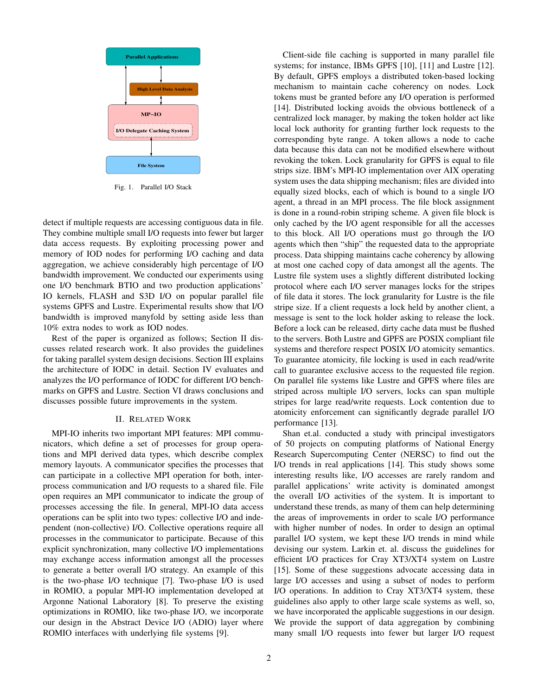

Fig. 1. Parallel I/O Stack

detect if multiple requests are accessing contiguous data in file. They combine multiple small I/O requests into fewer but larger data access requests. By exploiting processing power and memory of IOD nodes for performing I/O caching and data aggregation, we achieve considerably high percentage of I/O bandwidth improvement. We conducted our experiments using one I/O benchmark BTIO and two production applications' IO kernels, FLASH and S3D I/O on popular parallel file systems GPFS and Lustre. Experimental results show that I/O bandwidth is improved manyfold by setting aside less than 10% extra nodes to work as IOD nodes.

Rest of the paper is organized as follows; Section II discusses related research work. It also provides the guidelines for taking parallel system design decisions. Section III explains the architecture of IODC in detail. Section IV evaluates and analyzes the I/O performance of IODC for different I/O benchmarks on GPFS and Lustre. Section VI draws conclusions and discusses possible future improvements in the system.

## II. RELATED WORK

MPI-IO inherits two important MPI features: MPI communicators, which define a set of processes for group operations and MPI derived data types, which describe complex memory layouts. A communicator specifies the processes that can participate in a collective MPI operation for both, interprocess communication and I/O requests to a shared file. File open requires an MPI communicator to indicate the group of processes accessing the file. In general, MPI-IO data access operations can be split into two types: collective I/O and independent (non-collective) I/O. Collective operations require all processes in the communicator to participate. Because of this explicit synchronization, many collective I/O implementations may exchange access information amongst all the processes to generate a better overall I/O strategy. An example of this is the two-phase I/O technique [7]. Two-phase I/O is used in ROMIO, a popular MPI-IO implementation developed at Argonne National Laboratory [8]. To preserve the existing optimizations in ROMIO, like two-phase I/O, we incorporate our design in the Abstract Device I/O (ADIO) layer where ROMIO interfaces with underlying file systems [9].

Client-side file caching is supported in many parallel file systems; for instance, IBMs GPFS [10], [11] and Lustre [12]. By default, GPFS employs a distributed token-based locking mechanism to maintain cache coherency on nodes. Lock tokens must be granted before any I/O operation is performed [14]. Distributed locking avoids the obvious bottleneck of a centralized lock manager, by making the token holder act like local lock authority for granting further lock requests to the corresponding byte range. A token allows a node to cache data because this data can not be modified elsewhere without revoking the token. Lock granularity for GPFS is equal to file strips size. IBM's MPI-IO implementation over AIX operating system uses the data shipping mechanism; files are divided into equally sized blocks, each of which is bound to a single I/O agent, a thread in an MPI process. The file block assignment is done in a round-robin striping scheme. A given file block is only cached by the I/O agent responsible for all the accesses to this block. All I/O operations must go through the I/O agents which then "ship" the requested data to the appropriate process. Data shipping maintains cache coherency by allowing at most one cached copy of data amongst all the agents. The Lustre file system uses a slightly different distributed locking protocol where each I/O server manages locks for the stripes of file data it stores. The lock granularity for Lustre is the file stripe size. If a client requests a lock held by another client, a message is sent to the lock holder asking to release the lock. Before a lock can be released, dirty cache data must be flushed to the servers. Both Lustre and GPFS are POSIX compliant file systems and therefore respect POSIX I/O atomicity semantics. To guarantee atomicity, file locking is used in each read/write call to guarantee exclusive access to the requested file region. On parallel file systems like Lustre and GPFS where files are striped across multiple I/O servers, locks can span multiple stripes for large read/write requests. Lock contention due to atomicity enforcement can significantly degrade parallel I/O performance [13].

Shan et.al. conducted a study with principal investigators of 50 projects on computing platforms of National Energy Research Supercomputing Center (NERSC) to find out the I/O trends in real applications [14]. This study shows some interesting results like, I/O accesses are rarely random and parallel applications' write activity is dominated amongst the overall I/O activities of the system. It is important to understand these trends, as many of them can help determining the areas of improvements in order to scale I/O performance with higher number of nodes. In order to design an optimal parallel I/O system, we kept these I/O trends in mind while devising our system. Larkin et. al. discuss the guidelines for efficient I/O practices for Cray XT3/XT4 system on Lustre [15]. Some of these suggestions advocate accessing data in large I/O accesses and using a subset of nodes to perform I/O operations. In addition to Cray XT3/XT4 system, these guidelines also apply to other large scale systems as well, so, we have incorporated the applicable suggestions in our design. We provide the support of data aggregation by combining many small I/O requests into fewer but larger I/O request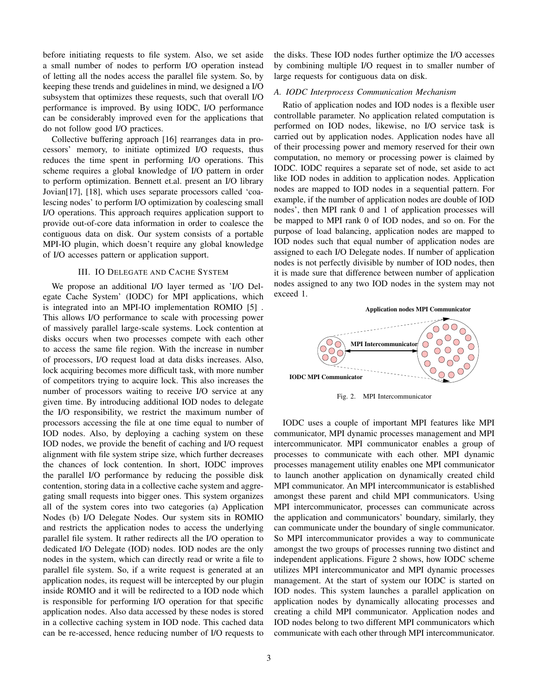before initiating requests to file system. Also, we set aside a small number of nodes to perform I/O operation instead of letting all the nodes access the parallel file system. So, by keeping these trends and guidelines in mind, we designed a I/O subsystem that optimizes these requests, such that overall I/O performance is improved. By using IODC, I/O performance can be considerably improved even for the applications that do not follow good I/O practices.

Collective buffering approach [16] rearranges data in processors' memory, to initiate optimized I/O requests, thus reduces the time spent in performing I/O operations. This scheme requires a global knowledge of I/O pattern in order to perform optimization. Bennett et.al. present an I/O library Jovian[17], [18], which uses separate processors called 'coalescing nodes' to perform I/O optimization by coalescing small I/O operations. This approach requires application support to provide out-of-core data information in order to coalesce the contiguous data on disk. Our system consists of a portable MPI-IO plugin, which doesn't require any global knowledge of I/O accesses pattern or application support.

#### III. IO DELEGATE AND CACHE SYSTEM

We propose an additional I/O layer termed as 'I/O Delegate Cache System' (IODC) for MPI applications, which is integrated into an MPI-IO implementation ROMIO [5] . This allows I/O performance to scale with processing power of massively parallel large-scale systems. Lock contention at disks occurs when two processes compete with each other to access the same file region. With the increase in number of processors, I/O request load at data disks increases. Also, lock acquiring becomes more difficult task, with more number of competitors trying to acquire lock. This also increases the number of processors waiting to receive I/O service at any given time. By introducing additional IOD nodes to delegate the I/O responsibility, we restrict the maximum number of processors accessing the file at one time equal to number of IOD nodes. Also, by deploying a caching system on these IOD nodes, we provide the benefit of caching and I/O request alignment with file system stripe size, which further decreases the chances of lock contention. In short, IODC improves the parallel I/O performance by reducing the possible disk contention, storing data in a collective cache system and aggregating small requests into bigger ones. This system organizes all of the system cores into two categories (a) Application Nodes (b) I/O Delegate Nodes. Our system sits in ROMIO and restricts the application nodes to access the underlying parallel file system. It rather redirects all the I/O operation to dedicated I/O Delegate (IOD) nodes. IOD nodes are the only nodes in the system, which can directly read or write a file to parallel file system. So, if a write request is generated at an application nodes, its request will be intercepted by our plugin inside ROMIO and it will be redirected to a IOD node which is responsible for performing I/O operation for that specific application nodes. Also data accessed by these nodes is stored in a collective caching system in IOD node. This cached data can be re-accessed, hence reducing number of I/O requests to

the disks. These IOD nodes further optimize the I/O accesses by combining multiple I/O request in to smaller number of large requests for contiguous data on disk.

#### *A. IODC Interprocess Communication Mechanism*

Ratio of application nodes and IOD nodes is a flexible user controllable parameter. No application related computation is performed on IOD nodes, likewise, no I/O service task is carried out by application nodes. Application nodes have all of their processing power and memory reserved for their own computation, no memory or processing power is claimed by IODC. IODC requires a separate set of node, set aside to act like IOD nodes in addition to application nodes. Application nodes are mapped to IOD nodes in a sequential pattern. For example, if the number of application nodes are double of IOD nodes', then MPI rank 0 and 1 of application processes will be mapped to MPI rank 0 of IOD nodes, and so on. For the purpose of load balancing, application nodes are mapped to IOD nodes such that equal number of application nodes are assigned to each I/O Delegate nodes. If number of application nodes is not perfectly divisible by number of IOD nodes, then it is made sure that difference between number of application nodes assigned to any two IOD nodes in the system may not exceed 1.



Fig. 2. MPI Intercommunicator

IODC uses a couple of important MPI features like MPI communicator, MPI dynamic processes management and MPI intercommunicator. MPI communicator enables a group of processes to communicate with each other. MPI dynamic processes management utility enables one MPI communicator to launch another application on dynamically created child MPI communicator. An MPI intercommunicator is established amongst these parent and child MPI communicators. Using MPI intercommunicator, processes can communicate across the application and communicators' boundary, similarly, they can communicate under the boundary of single communicator. So MPI intercommunicator provides a way to communicate amongst the two groups of processes running two distinct and independent applications. Figure 2 shows, how IODC scheme utilizes MPI intercommunicator and MPI dynamic processes management. At the start of system our IODC is started on IOD nodes. This system launches a parallel application on application nodes by dynamically allocating processes and creating a child MPI communicator. Application nodes and IOD nodes belong to two different MPI communicators which communicate with each other through MPI intercommunicator.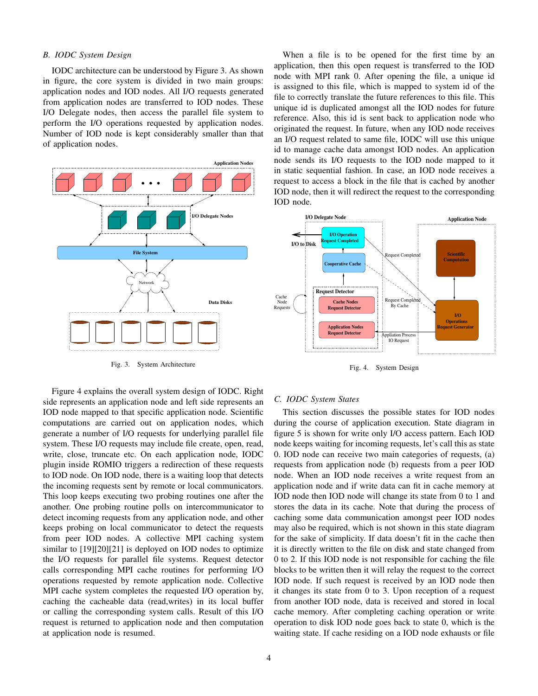### *B. IODC System Design*

IODC architecture can be understood by Figure 3. As shown in figure, the core system is divided in two main groups: application nodes and IOD nodes. All I/O requests generated from application nodes are transferred to IOD nodes. These I/O Delegate nodes, then access the parallel file system to perform the I/O operations requested by application nodes. Number of IOD node is kept considerably smaller than that of application nodes.



Fig. 3. System Architecture

Figure 4 explains the overall system design of IODC. Right side represents an application node and left side represents an IOD node mapped to that specific application node. Scientific computations are carried out on application nodes, which generate a number of I/O requests for underlying parallel file system. These I/O requests may include file create, open, read, write, close, truncate etc. On each application node, IODC plugin inside ROMIO triggers a redirection of these requests to IOD node. On IOD node, there is a waiting loop that detects the incoming requests sent by remote or local communicators. This loop keeps executing two probing routines one after the another. One probing routine polls on intercommunicator to detect incoming requests from any application node, and other keeps probing on local communicator to detect the requests from peer IOD nodes. A collective MPI caching system similar to  $[19][20][21]$  is deployed on IOD nodes to optimize the I/O requests for parallel file systems. Request detector calls corresponding MPI cache routines for performing I/O operations requested by remote application node. Collective MPI cache system completes the requested I/O operation by, caching the cacheable data (read,writes) in its local buffer or calling the corresponding system calls. Result of this I/O request is returned to application node and then computation at application node is resumed.

When a file is to be opened for the first time by an application, then this open request is transferred to the IOD node with MPI rank 0. After opening the file, a unique id is assigned to this file, which is mapped to system id of the file to correctly translate the future references to this file. This unique id is duplicated amongst all the IOD nodes for future reference. Also, this id is sent back to application node who originated the request. In future, when any IOD node receives an I/O request related to same file, IODC will use this unique id to manage cache data amongst IOD nodes. An application node sends its I/O requests to the IOD node mapped to it in static sequential fashion. In case, an IOD node receives a request to access a block in the file that is cached by another IOD node, then it will redirect the request to the corresponding IOD node.



Fig. 4. System Design

# *C. IODC System States*

This section discusses the possible states for IOD nodes during the course of application execution. State diagram in figure 5 is shown for write only I/O access pattern. Each IOD node keeps waiting for incoming requests, let's call this as state 0. IOD node can receive two main categories of requests, (a) requests from application node (b) requests from a peer IOD node. When an IOD node receives a write request from an application node and if write data can fit in cache memory at IOD node then IOD node will change its state from 0 to 1 and stores the data in its cache. Note that during the process of caching some data communication amongst peer IOD nodes may also be required, which is not shown in this state diagram for the sake of simplicity. If data doesn't fit in the cache then it is directly written to the file on disk and state changed from 0 to 2. If this IOD node is not responsible for caching the file blocks to be written then it will relay the request to the correct IOD node. If such request is received by an IOD node then it changes its state from 0 to 3. Upon reception of a request from another IOD node, data is received and stored in local cache memory. After completing caching operation or write operation to disk IOD node goes back to state 0, which is the waiting state. If cache residing on a IOD node exhausts or file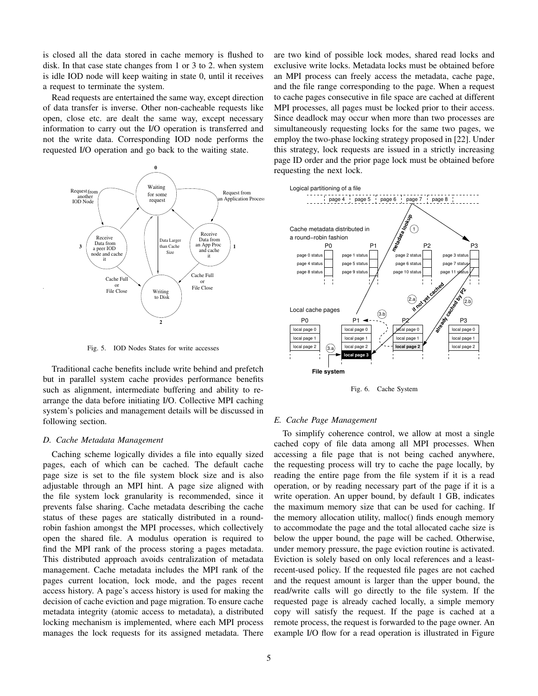is closed all the data stored in cache memory is flushed to disk. In that case state changes from 1 or 3 to 2. when system is idle IOD node will keep waiting in state 0, until it receives a request to terminate the system.

Read requests are entertained the same way, except direction of data transfer is inverse. Other non-cacheable requests like open, close etc. are dealt the same way, except necessary information to carry out the I/O operation is transferred and not the write data. Corresponding IOD node performs the requested I/O operation and go back to the waiting state.



Fig. 5. IOD Nodes States for write accesses

Traditional cache benefits include write behind and prefetch but in parallel system cache provides performance benefits such as alignment, intermediate buffering and ability to rearrange the data before initiating I/O. Collective MPI caching system's policies and management details will be discussed in following section.

## *D. Cache Metadata Management*

Caching scheme logically divides a file into equally sized pages, each of which can be cached. The default cache page size is set to the file system block size and is also adjustable through an MPI hint. A page size aligned with the file system lock granularity is recommended, since it prevents false sharing. Cache metadata describing the cache status of these pages are statically distributed in a roundrobin fashion amongst the MPI processes, which collectively open the shared file. A modulus operation is required to find the MPI rank of the process storing a pages metadata. This distributed approach avoids centralization of metadata management. Cache metadata includes the MPI rank of the pages current location, lock mode, and the pages recent access history. A page's access history is used for making the decision of cache eviction and page migration. To ensure cache metadata integrity (atomic access to metadata), a distributed locking mechanism is implemented, where each MPI process manages the lock requests for its assigned metadata. There are two kind of possible lock modes, shared read locks and exclusive write locks. Metadata locks must be obtained before an MPI process can freely access the metadata, cache page, and the file range corresponding to the page. When a request to cache pages consecutive in file space are cached at different MPI processes, all pages must be locked prior to their access. Since deadlock may occur when more than two processes are simultaneously requesting locks for the same two pages, we employ the two-phase locking strategy proposed in [22]. Under this strategy, lock requests are issued in a strictly increasing page ID order and the prior page lock must be obtained before requesting the next lock.



Fig. 6. Cache System

# *E. Cache Page Management*

To simplify coherence control, we allow at most a single cached copy of file data among all MPI processes. When accessing a file page that is not being cached anywhere, the requesting process will try to cache the page locally, by reading the entire page from the file system if it is a read operation, or by reading necessary part of the page if it is a write operation. An upper bound, by default 1 GB, indicates the maximum memory size that can be used for caching. If the memory allocation utility, malloc() finds enough memory to accommodate the page and the total allocated cache size is below the upper bound, the page will be cached. Otherwise, under memory pressure, the page eviction routine is activated. Eviction is solely based on only local references and a leastrecent-used policy. If the requested file pages are not cached and the request amount is larger than the upper bound, the read/write calls will go directly to the file system. If the requested page is already cached locally, a simple memory copy will satisfy the request. If the page is cached at a remote process, the request is forwarded to the page owner. An example I/O flow for a read operation is illustrated in Figure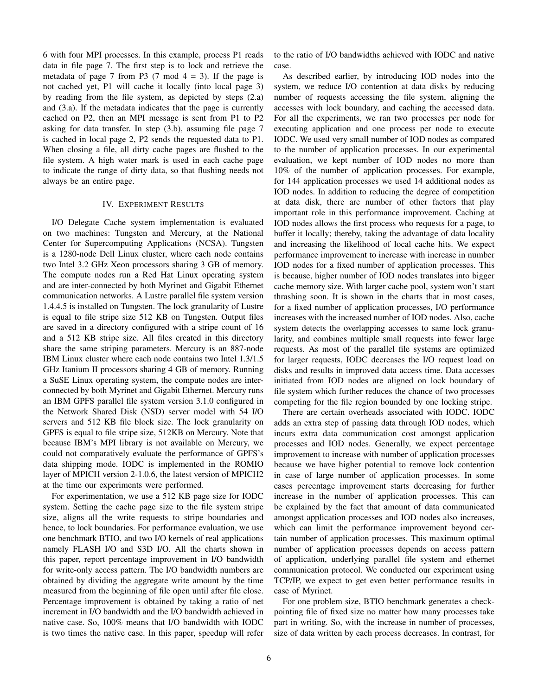6 with four MPI processes. In this example, process P1 reads data in file page 7. The first step is to lock and retrieve the metadata of page 7 from P3  $(7 \text{ mod } 4 = 3)$ . If the page is not cached yet, P1 will cache it locally (into local page 3) by reading from the file system, as depicted by steps (2.a) and (3.a). If the metadata indicates that the page is currently cached on P2, then an MPI message is sent from P1 to P2 asking for data transfer. In step (3.b), assuming file page 7 is cached in local page 2, P2 sends the requested data to P1. When closing a file, all dirty cache pages are flushed to the file system. A high water mark is used in each cache page to indicate the range of dirty data, so that flushing needs not always be an entire page.

## IV. EXPERIMENT RESULTS

I/O Delegate Cache system implementation is evaluated on two machines: Tungsten and Mercury, at the National Center for Supercomputing Applications (NCSA). Tungsten is a 1280-node Dell Linux cluster, where each node contains two Intel 3.2 GHz Xeon processors sharing 3 GB of memory. The compute nodes run a Red Hat Linux operating system and are inter-connected by both Myrinet and Gigabit Ethernet communication networks. A Lustre parallel file system version 1.4.4.5 is installed on Tungsten. The lock granularity of Lustre is equal to file stripe size 512 KB on Tungsten. Output files are saved in a directory configured with a stripe count of 16 and a 512 KB stripe size. All files created in this directory share the same striping parameters. Mercury is an 887-node IBM Linux cluster where each node contains two Intel 1.3/1.5 GHz Itanium II processors sharing 4 GB of memory. Running a SuSE Linux operating system, the compute nodes are interconnected by both Myrinet and Gigabit Ethernet. Mercury runs an IBM GPFS parallel file system version 3.1.0 configured in the Network Shared Disk (NSD) server model with 54 I/O servers and 512 KB file block size. The lock granularity on GPFS is equal to file stripe size, 512KB on Mercury. Note that because IBM's MPI library is not available on Mercury, we could not comparatively evaluate the performance of GPFS's data shipping mode. IODC is implemented in the ROMIO layer of MPICH version 2-1.0.6, the latest version of MPICH2 at the time our experiments were performed.

For experimentation, we use a 512 KB page size for IODC system. Setting the cache page size to the file system stripe size, aligns all the write requests to stripe boundaries and hence, to lock boundaries. For performance evaluation, we use one benchmark BTIO, and two I/O kernels of real applications namely FLASH I/O and S3D I/O. All the charts shown in this paper, report percentage improvement in I/O bandwidth for write-only access pattern. The I/O bandwidth numbers are obtained by dividing the aggregate write amount by the time measured from the beginning of file open until after file close. Percentage improvement is obtained by taking a ratio of net increment in I/O bandwidth and the I/O bandwidth achieved in native case. So, 100% means that I/O bandwidth with IODC is two times the native case. In this paper, speedup will refer to the ratio of I/O bandwidths achieved with IODC and native case.

As described earlier, by introducing IOD nodes into the system, we reduce I/O contention at data disks by reducing number of requests accessing the file system, aligning the accesses with lock boundary, and caching the accessed data. For all the experiments, we ran two processes per node for executing application and one process per node to execute IODC. We used very small number of IOD nodes as compared to the number of application processes. In our experimental evaluation, we kept number of IOD nodes no more than 10% of the number of application processes. For example, for 144 application processes we used 14 additional nodes as IOD nodes. In addition to reducing the degree of competition at data disk, there are number of other factors that play important role in this performance improvement. Caching at IOD nodes allows the first process who requests for a page, to buffer it locally; thereby, taking the advantage of data locality and increasing the likelihood of local cache hits. We expect performance improvement to increase with increase in number IOD nodes for a fixed number of application processes. This is because, higher number of IOD nodes translates into bigger cache memory size. With larger cache pool, system won't start thrashing soon. It is shown in the charts that in most cases, for a fixed number of application processes, I/O performance increases with the increased number of IOD nodes. Also, cache system detects the overlapping accesses to same lock granularity, and combines multiple small requests into fewer large requests. As most of the parallel file systems are optimized for larger requests, IODC decreases the I/O request load on disks and results in improved data access time. Data accesses initiated from IOD nodes are aligned on lock boundary of file system which further reduces the chance of two processes competing for the file region bounded by one locking stripe.

There are certain overheads associated with IODC. IODC adds an extra step of passing data through IOD nodes, which incurs extra data communication cost amongst application processes and IOD nodes. Generally, we expect percentage improvement to increase with number of application processes because we have higher potential to remove lock contention in case of large number of application processes. In some cases percentage improvement starts decreasing for further increase in the number of application processes. This can be explained by the fact that amount of data communicated amongst application processes and IOD nodes also increases, which can limit the performance improvement beyond certain number of application processes. This maximum optimal number of application processes depends on access pattern of application, underlying parallel file system and ethernet communication protocol. We conducted our experiment using TCP/IP, we expect to get even better performance results in case of Myrinet.

For one problem size, BTIO benchmark generates a checkpointing file of fixed size no matter how many processes take part in writing. So, with the increase in number of processes, size of data written by each process decreases. In contrast, for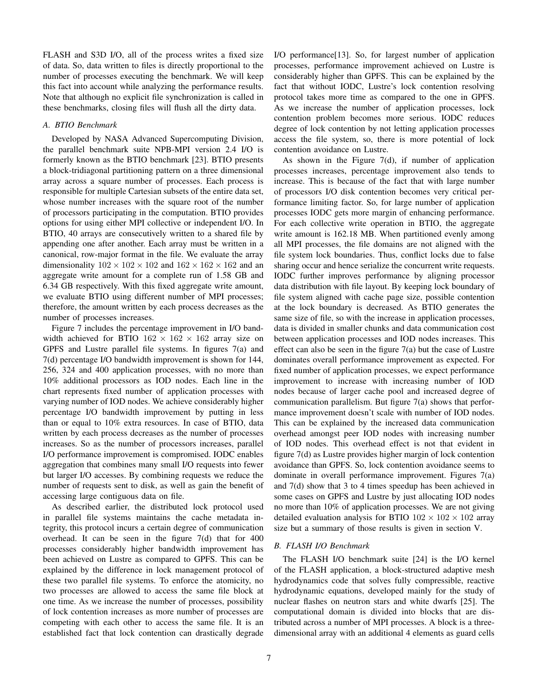FLASH and S3D I/O, all of the process writes a fixed size of data. So, data written to files is directly proportional to the number of processes executing the benchmark. We will keep this fact into account while analyzing the performance results. Note that although no explicit file synchronization is called in these benchmarks, closing files will flush all the dirty data.

## *A. BTIO Benchmark*

Developed by NASA Advanced Supercomputing Division, the parallel benchmark suite NPB-MPI version 2.4 I/O is formerly known as the BTIO benchmark [23]. BTIO presents a block-tridiagonal partitioning pattern on a three dimensional array across a square number of processes. Each process is responsible for multiple Cartesian subsets of the entire data set, whose number increases with the square root of the number of processors participating in the computation. BTIO provides options for using either MPI collective or independent I/O. In BTIO, 40 arrays are consecutively written to a shared file by appending one after another. Each array must be written in a canonical, row-major format in the file. We evaluate the array dimensionality  $102 \times 102 \times 102$  and  $162 \times 162 \times 162$  and an aggregate write amount for a complete run of 1.58 GB and 6.34 GB respectively. With this fixed aggregate write amount, we evaluate BTIO using different number of MPI processes; therefore, the amount written by each process decreases as the number of processes increases.

Figure 7 includes the percentage improvement in I/O bandwidth achieved for BTIO  $162 \times 162 \times 162$  array size on GPFS and Lustre parallel file systems. In figures 7(a) and 7(d) percentage I/O bandwidth improvement is shown for 144, 256, 324 and 400 application processes, with no more than 10% additional processors as IOD nodes. Each line in the chart represents fixed number of application processes with varying number of IOD nodes. We achieve considerably higher percentage I/O bandwidth improvement by putting in less than or equal to 10% extra resources. In case of BTIO, data written by each process decreases as the number of processes increases. So as the number of processors increases, parallel I/O performance improvement is compromised. IODC enables aggregation that combines many small I/O requests into fewer but larger I/O accesses. By combining requests we reduce the number of requests sent to disk, as well as gain the benefit of accessing large contiguous data on file.

As described earlier, the distributed lock protocol used in parallel file systems maintains the cache metadata integrity, this protocol incurs a certain degree of communication overhead. It can be seen in the figure 7(d) that for 400 processes considerably higher bandwidth improvement has been achieved on Lustre as compared to GPFS. This can be explained by the difference in lock management protocol of these two parallel file systems. To enforce the atomicity, no two processes are allowed to access the same file block at one time. As we increase the number of processes, possibility of lock contention increases as more number of processes are competing with each other to access the same file. It is an established fact that lock contention can drastically degrade I/O performance[13]. So, for largest number of application processes, performance improvement achieved on Lustre is considerably higher than GPFS. This can be explained by the fact that without IODC, Lustre's lock contention resolving protocol takes more time as compared to the one in GPFS. As we increase the number of application processes, lock contention problem becomes more serious. IODC reduces degree of lock contention by not letting application processes access the file system, so, there is more potential of lock contention avoidance on Lustre.

As shown in the Figure 7(d), if number of application processes increases, percentage improvement also tends to increase. This is because of the fact that with large number of processors I/O disk contention becomes very critical performance limiting factor. So, for large number of application processes IODC gets more margin of enhancing performance. For each collective write operation in BTIO, the aggregate write amount is 162.18 MB. When partitioned evenly among all MPI processes, the file domains are not aligned with the file system lock boundaries. Thus, conflict locks due to false sharing occur and hence serialize the concurrent write requests. IODC further improves performance by aligning processor data distribution with file layout. By keeping lock boundary of file system aligned with cache page size, possible contention at the lock boundary is decreased. As BTIO generates the same size of file, so with the increase in application processes, data is divided in smaller chunks and data communication cost between application processes and IOD nodes increases. This effect can also be seen in the figure 7(a) but the case of Lustre dominates overall performance improvement as expected. For fixed number of application processes, we expect performance improvement to increase with increasing number of IOD nodes because of larger cache pool and increased degree of communication parallelism. But figure 7(a) shows that performance improvement doesn't scale with number of IOD nodes. This can be explained by the increased data communication overhead amongst peer IOD nodes with increasing number of IOD nodes. This overhead effect is not that evident in figure 7(d) as Lustre provides higher margin of lock contention avoidance than GPFS. So, lock contention avoidance seems to dominate in overall performance improvement. Figures 7(a) and 7(d) show that 3 to 4 times speedup has been achieved in some cases on GPFS and Lustre by just allocating IOD nodes no more than 10% of application processes. We are not giving detailed evaluation analysis for BTIO  $102 \times 102 \times 102$  array size but a summary of those results is given in section V.

# *B. FLASH I/O Benchmark*

The FLASH I/O benchmark suite [24] is the I/O kernel of the FLASH application, a block-structured adaptive mesh hydrodynamics code that solves fully compressible, reactive hydrodynamic equations, developed mainly for the study of nuclear flashes on neutron stars and white dwarfs [25]. The computational domain is divided into blocks that are distributed across a number of MPI processes. A block is a threedimensional array with an additional 4 elements as guard cells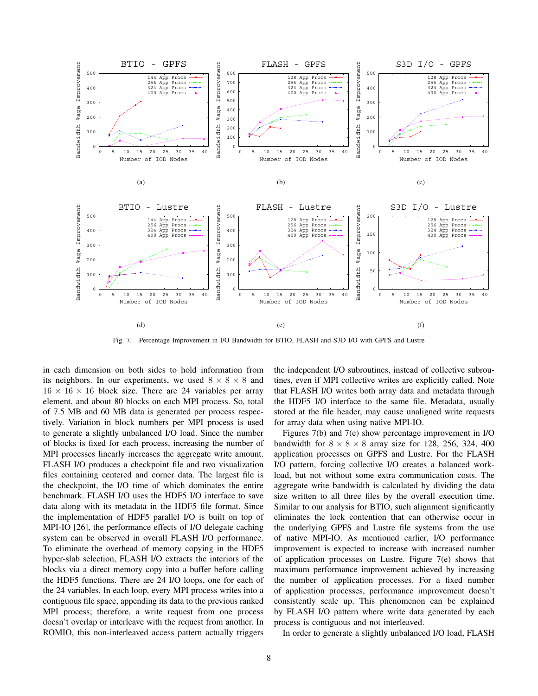

Fig. 7. Percentage Improvement in I/O Bandwidth for BTIO, FLASH and S3D I/O with GPFS and Lustre

in each dimension on both sides to hold information from its neighbors. In our experiments, we used  $8 \times 8 \times 8$  and  $16 \times 16 \times 16$  block size. There are 24 variables per array element, and about 80 blocks on each MPI process. So, total of 7.5 MB and 60 MB data is generated per process respectively. Variation in block numbers per MPI process is used to generate a slightly unbalanced I/O load. Since the number of blocks is fixed for each process, increasing the number of MPI processes linearly increases the aggregate write amount. FLASH I/O produces a checkpoint file and two visualization files containing centered and corner data. The largest file is the checkpoint, the I/O time of which dominates the entire benchmark. FLASH I/O uses the HDF5 I/O interface to save data along with its metadata in the HDF5 file format. Since the implementation of HDF5 parallel I/O is built on top of MPI-IO [26], the performance effects of I/O delegate caching system can be observed in overall FLASH I/O performance. To eliminate the overhead of memory copying in the HDF5 hyper-slab selection, FLASH I/O extracts the interiors of the blocks via a direct memory copy into a buffer before calling the HDF5 functions. There are 24 I/O loops, one for each of the 24 variables. In each loop, every MPI process writes into a contiguous file space, appending its data to the previous ranked MPI process; therefore, a write request from one process doesn't overlap or interleave with the request from another. In ROMIO, this non-interleaved access pattern actually triggers

the independent I/O subroutines, instead of collective subroutines, even if MPI collective writes are explicitly called. Note that FLASH I/O writes both array data and metadata through the HDF5 I/O interface to the same file. Metadata, usually stored at the file header, may cause unaligned write requests for array data when using native MPI-IO.

Figures 7(b) and 7(e) show percentage improvement in I/O bandwidth for  $8 \times 8 \times 8$  array size for 128, 256, 324, 400 application processes on GPFS and Lustre. For the FLASH I/O pattern, forcing collective I/O creates a balanced workload, but not without some extra communication costs. The aggregate write bandwidth is calculated by dividing the data size written to all three files by the overall execution time. Similar to our analysis for BTIO, such alignment significantly eliminates the lock contention that can otherwise occur in the underlying GPFS and Lustre file systems from the use of native MPI-IO. As mentioned earlier, I/O performance improvement is expected to increase with increased number of application processes on Lustre. Figure 7(e) shows that maximum performance improvement achieved by increasing the number of application processes. For a fixed number of application processes, performance improvement doesn't consistently scale up. This phenomenon can be explained by FLASH I/O pattern where write data generated by each process is contiguous and not interleaved.

In order to generate a slightly unbalanced I/O load, FLASH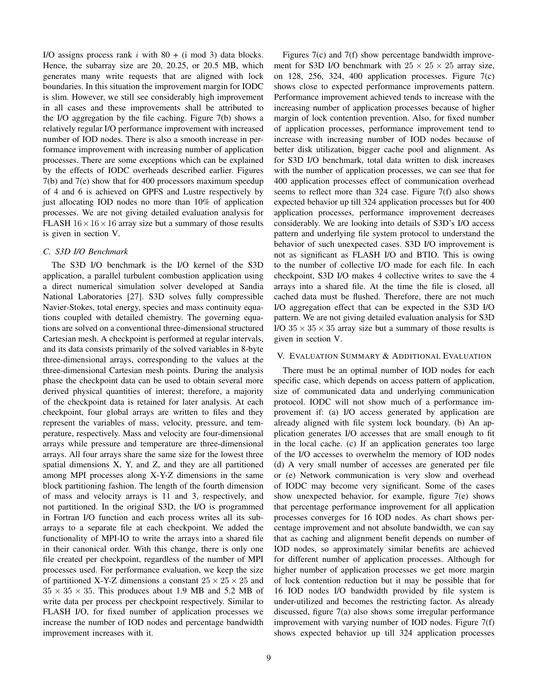I/O assigns process rank i with  $80 + (i \mod 3)$  data blocks. Hence, the subarray size are 20, 20.25, or 20.5 MB, which generates many write requests that are aligned with lock boundaries. In this situation the improvement margin for IODC is slim. However, we still see considerably high improvement in all cases and these improvements shall be attributed to the I/O aggregation by the file caching. Figure 7(b) shows a relatively regular I/O performance improvement with increased number of IOD nodes. There is also a smooth increase in performance improvement with increasing number of application processes. There are some exceptions which can be explained by the effects of IODC overheads described earlier. Figures 7(b) and 7(e) show that for 400 processors maximum speedup of 4 and 6 is achieved on GPFS and Lustre respectively by just allocating IOD nodes no more than 10% of application processes. We are not giving detailed evaluation analysis for FLASH  $16 \times 16 \times 16$  array size but a summary of those results is given in section V.

# *C. S3D I/O Benchmark*

The S3D I/O benchmark is the I/O kernel of the S3D application, a parallel turbulent combustion application using a direct numerical simulation solver developed at Sandia National Laboratories [27]. S3D solves fully compressible Navier-Stokes, total energy, species and mass continuity equations coupled with detailed chemistry. The governing equations are solved on a conventional three-dimensional structured Cartesian mesh. A checkpoint is performed at regular intervals, and its data consists primarily of the solved variables in 8-byte three-dimensional arrays, corresponding to the values at the three-dimensional Cartesian mesh points. During the analysis phase the checkpoint data can be used to obtain several more derived physical quantities of interest; therefore, a majority of the checkpoint data is retained for later analysis. At each checkpoint, four global arrays are written to files and they represent the variables of mass, velocity, pressure, and temperature, respectively. Mass and velocity are four-dimensional arrays while pressure and temperature are three-dimensional arrays. All four arrays share the same size for the lowest three spatial dimensions X, Y, and Z, and they are all partitioned among MPI processes along X-Y-Z dimensions in the same block partitioning fashion. The length of the fourth dimension of mass and velocity arrays is 11 and 3, respectively, and not partitioned. In the original S3D, the I/O is programmed in Fortran I/O function and each process writes all its subarrays to a separate file at each checkpoint. We added the functionality of MPI-IO to write the arrays into a shared file in their canonical order. With this change, there is only one file created per checkpoint, regardless of the number of MPI processes used. For performance evaluation, we keep the size of partitioned X-Y-Z dimensions a constant  $25 \times 25 \times 25$  and  $35 \times 35 \times 35$ . This produces about 1.9 MB and 5.2 MB of write data per process per checkpoint respectively. Similar to FLASH I/O, for fixed number of application processes we increase the number of IOD nodes and percentage bandwidth improvement increases with it.

Figures 7(c) and 7(f) show percentage bandwidth improvement for S3D I/O benchmark with  $25 \times 25 \times 25$  array size, on 128, 256, 324, 400 application processes. Figure 7(c) shows close to expected performance improvements pattern. Performance improvement achieved tends to increase with the increasing number of application processes because of higher margin of lock contention prevention. Also, for fixed number of application processes, performance improvement tend to increase with increasing number of IOD nodes because of better disk utilization, bigger cache pool and alignment. As for S3D I/O benchmark, total data written to disk increases with the number of application processes, we can see that for 400 application processes effect of communication overhead seems to reflect more than 324 case. Figure 7(f) also shows expected behavior up till 324 application processes but for 400 application processes, performance improvement decreases considerably. We are looking into details of S3D's I/O access pattern and underlying file system protocol to understand the behavior of such unexpected cases. S3D I/O improvement is not as significant as FLASH I/O and BTIO. This is owing to the number of collective I/O made for each file. In each checkpoint, S3D I/O makes 4 collective writes to save the 4 arrays into a shared file. At the time the file is closed, all cached data must be flushed. Therefore, there are not much I/O aggregation effect that can be expected in the S3D I/O pattern. We are not giving detailed evaluation analysis for S3D I/O  $35 \times 35 \times 35$  array size but a summary of those results is given in section V.

## V. EVALUATION SUMMARY & ADDITIONAL EVALUATION

There must be an optimal number of IOD nodes for each specific case, which depends on access pattern of application, size of communicated data and underlying communication protocol. IODC will not show much of a performance improvement if: (a) I/O access generated by application are already aligned with file system lock boundary. (b) An application generates I/O accesses that are small enough to fit in the local cache. (c) If an application generates too large of the I/O accesses to overwhelm the memory of IOD nodes (d) A very small number of accesses are generated per file or (e) Network communication is very slow and overhead of IODC may become very significant. Some of the cases show unexpected behavior, for example, figure 7(e) shows that percentage performance improvement for all application processes converges for 16 IOD nodes. As chart shows percentage improvement and not absolute bandwidth, we can say that as caching and alignment benefit depends on number of IOD nodes, so approximately similar benefits are achieved for different number of application processes. Although for higher number of application processes we get more margin of lock contention reduction but it may be possible that for 16 IOD nodes I/O bandwidth provided by file system is under-utilized and becomes the restricting factor. As already discussed, figure 7(a) also shows some irregular performance improvement with varying number of IOD nodes. Figure 7(f) shows expected behavior up till 324 application processes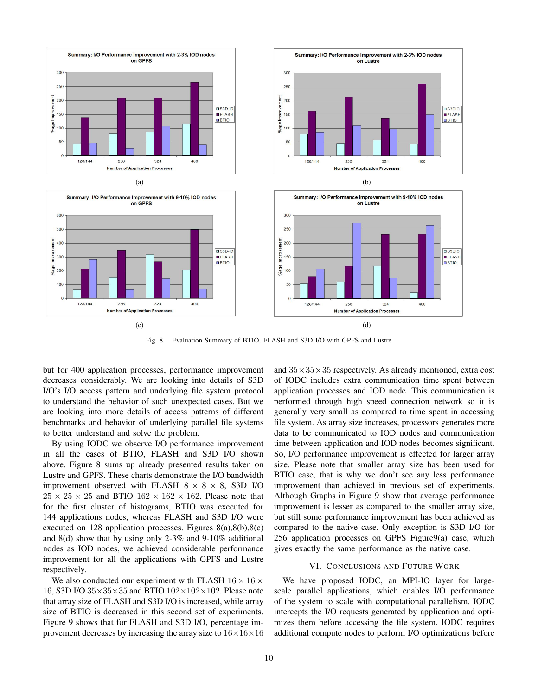

Fig. 8. Evaluation Summary of BTIO, FLASH and S3D I/O with GPFS and Lustre

but for 400 application processes, performance improvement decreases considerably. We are looking into details of S3D I/O's I/O access pattern and underlying file system protocol to understand the behavior of such unexpected cases. But we are looking into more details of access patterns of different benchmarks and behavior of underlying parallel file systems to better understand and solve the problem.

By using IODC we observe I/O performance improvement in all the cases of BTIO, FLASH and S3D I/O shown above. Figure 8 sums up already presented results taken on Lustre and GPFS. These charts demonstrate the I/O bandwidth improvement observed with FLASH  $8 \times 8 \times 8$ , S3D I/O  $25 \times 25 \times 25$  and BTIO  $162 \times 162 \times 162$ . Please note that for the first cluster of histograms, BTIO was executed for 144 applications nodes, whereas FLASH and S3D I/O were executed on 128 application processes. Figures  $8(a)$ , $8(b)$ , $8(c)$ and 8(d) show that by using only 2-3% and 9-10% additional nodes as IOD nodes, we achieved considerable performance improvement for all the applications with GPFS and Lustre respectively.

We also conducted our experiment with FLASH  $16 \times 16 \times$ 16, S3D I/O  $35 \times 35 \times 35$  and BTIO  $102 \times 102 \times 102$ . Please note that array size of FLASH and S3D I/O is increased, while array size of BTIO is decreased in this second set of experiments. Figure 9 shows that for FLASH and S3D I/O, percentage improvement decreases by increasing the array size to  $16 \times 16 \times 16$  and  $35 \times 35 \times 35$  respectively. As already mentioned, extra cost of IODC includes extra communication time spent between application processes and IOD node. This communication is performed through high speed connection network so it is generally very small as compared to time spent in accessing file system. As array size increases, processors generates more data to be communicated to IOD nodes and communication time between application and IOD nodes becomes significant. So, I/O performance improvement is effected for larger array size. Please note that smaller array size has been used for BTIO case, that is why we don't see any less performance improvement than achieved in previous set of experiments. Although Graphs in Figure 9 show that average performance improvement is lesser as compared to the smaller array size, but still some performance improvement has been achieved as compared to the native case. Only exception is S3D I/O for 256 application processes on GPFS Figure9(a) case, which gives exactly the same performance as the native case.

# VI. CONCLUSIONS AND FUTURE WORK

We have proposed IODC, an MPI-IO layer for largescale parallel applications, which enables I/O performance of the system to scale with computational parallelism. IODC intercepts the I/O requests generated by application and optimizes them before accessing the file system. IODC requires additional compute nodes to perform I/O optimizations before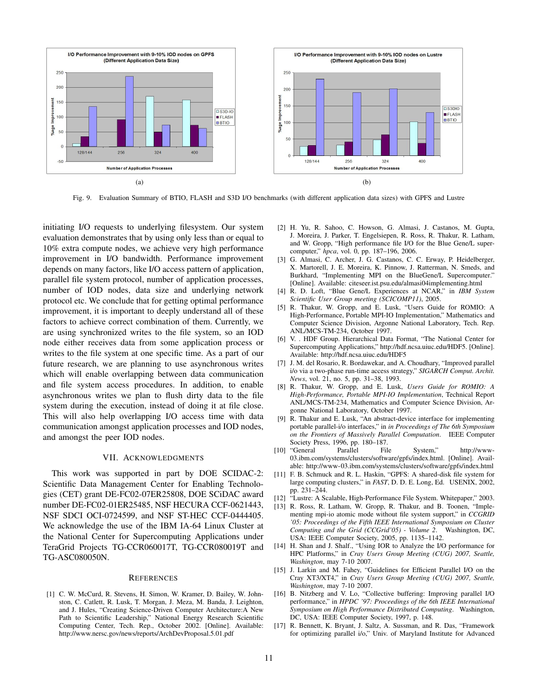

Fig. 9. Evaluation Summary of BTIO, FLASH and S3D I/O benchmarks (with different application data sizes) with GPFS and Lustre

initiating I/O requests to underlying filesystem. Our system evaluation demonstrates that by using only less than or equal to 10% extra compute nodes, we achieve very high performance improvement in I/O bandwidth. Performance improvement depends on many factors, like I/O access pattern of application, parallel file system protocol, number of application processes, number of IOD nodes, data size and underlying network protocol etc. We conclude that for getting optimal performance improvement, it is important to deeply understand all of these factors to achieve correct combination of them. Currently, we are using synchronized writes to the file system, so an IOD node either receives data from some application process or writes to the file system at one specific time. As a part of our future research, we are planning to use asynchronous writes which will enable overlapping between data communication and file system access procedures. In addition, to enable asynchronous writes we plan to flush dirty data to the file system during the execution, instead of doing it at file close. This will also help overlapping I/O access time with data communication amongst application processes and IOD nodes, and amongst the peer IOD nodes.

#### VII. ACKNOWLEDGMENTS

This work was supported in part by DOE SCIDAC-2: Scientific Data Management Center for Enabling Technologies (CET) grant DE-FC02-07ER25808, DOE SCiDAC award number DE-FC02-01ER25485, NSF HECURA CCF-0621443, NSF SDCI OCI-0724599, and NSF ST-HEC CCF-0444405. We acknowledge the use of the IBM IA-64 Linux Cluster at the National Center for Supercomputing Applications under TeraGrid Projects TG-CCR060017T, TG-CCR080019T and TG-ASC080050N.

#### **REFERENCES**

[1] C. W. McCurd, R. Stevens, H. Simon, W. Kramer, D. Bailey, W. Johnston, C. Catlett, R. Lusk, T. Morgan, J. Meza, M. Banda, J. Leighton, and J. Hules, "Creating Science-Driven Computer Architecture:A New Path to Scientific Leadership," National Energy Research Scientific Computing Center, Tech. Rep., October 2002. [Online]. Available: http://www.nersc.gov/news/reports/ArchDevProposal.5.01.pdf

- [2] H. Yu, R. Sahoo, C. Howson, G. Almasi, J. Castanos, M. Gupta, J. Moreira, J. Parker, T. Engelsiepen, R. Ross, R. Thakur, R. Latham, and W. Gropp, "High performance file I/O for the Blue Gene/L supercomputer," *hpca*, vol. 0, pp. 187–196, 2006.
- [3] G. Almasi, C. Archer, J. G. Castanos, C. C. Erway, P. Heidelberger, X. Martorell, J. E. Moreira, K. Pinnow, J. Ratterman, N. Smeds, and Burkhard, "Implementing MPI on the BlueGene/L Supercomputer." [Online]. Available: citeseer.ist.psu.edu/almasi04implementing.html
- [4] R. D. Loft, "Blue Gene/L Experiences at NCAR," in *IBM System Scientific User Group meeting (SCICOMP11)*, 2005.
- [5] R. Thakur, W. Gropp, and E. Lusk, "Users Guide for ROMIO: A High-Performance, Portable MPI-IO Implementation," Mathematics and Computer Science Division, Argonne National Laboratory, Tech. Rep. ANL/MCS-TM-234, October 1997.
- [6] V. . HDF Group. Hierarchical Data Format, "The National Center for Supercomputing Applications," http://hdf.ncsa.uiuc.edu/HDF5. [Online]. Available: http://hdf.ncsa.uiuc.edu/HDF5
- [7] J. M. del Rosario, R. Bordawekar, and A. Choudhary, "Improved parallel i/o via a two-phase run-time access strategy," *SIGARCH Comput. Archit. News*, vol. 21, no. 5, pp. 31–38, 1993.
- [8] R. Thakur, W. Gropp, and E. Lusk, *Users Guide for ROMIO: A High-Performance, Portable MPI-IO Implementation*, Technical Report ANL/MCS-TM-234, Mathematics and Computer Science Division, Argonne National Laboratory, October 1997.
- [9] R. Thakur and E. Lusk, "An abstract-device interface for implementing portable parallel-i/o interfaces," in *in Proceedings of The 6th Symposium on the Frontiers of Massively Parallel Computation*. IEEE Computer Society Press, 1996, pp. 180–187.
- [10] "General Parallel File System," http://www-03.ibm.com/systems/clusters/software/gpfs/index.html. [Online]. Available: http://www-03.ibm.com/systems/clusters/software/gpfs/index.html
- [11] F. B. Schmuck and R. L. Haskin, "GPFS: A shared-disk file system for large computing clusters," in *FAST*, D. D. E. Long, Ed. USENIX, 2002, pp. 231–244.
- [12] "Lustre: A Scalable, High-Performance File System. Whitepaper," 2003.
- [13] R. Ross, R. Latham, W. Gropp, R. Thakur, and B. Toonen, "Implementing mpi-io atomic mode without file system support," in *CCGRID '05: Proceedings of the Fifth IEEE International Symposium on Cluster Computing and the Grid (CCGrid'05) - Volume 2*. Washington, DC, USA: IEEE Computer Society, 2005, pp. 1135–1142.
- [14] H. Shan and J. Shalf., "Using IOR to Analyze the I/O performance for HPC Platforms," in *Cray Users Group Meeting (CUG) 2007, Seattle, Washington*, may 7-10 2007.
- [15] J. Larkin and M. Fahey, "Guidelines for Efficient Parallel I/O on the Cray XT3/XT4," in *Cray Users Group Meeting (CUG) 2007, Seattle, Washington*, may 7-10 2007.
- [16] B. Nitzberg and V. Lo, "Collective buffering: Improving parallel I/O performance," in *HPDC '97: Proceedings of the 6th IEEE International Symposium on High Performance Distributed Computing*. Washington, DC, USA: IEEE Computer Society, 1997, p. 148.
- [17] R. Bennett, K. Bryant, J. Saltz, A. Sussman, and R. Das, "Framework for optimizing parallel i/o," Univ. of Maryland Institute for Advanced